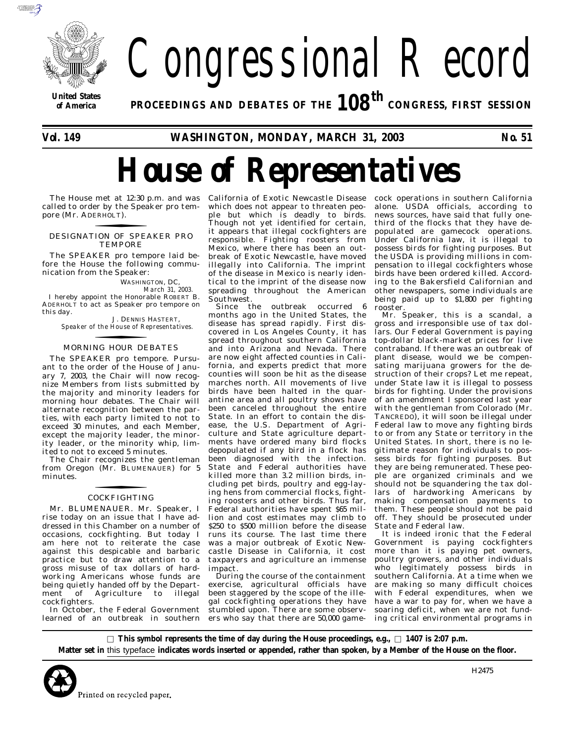

# Congressional Record

**United States**

*of* **America PROCEEDINGS AND DEBATES OF THE** *108th* **CONGRESS, FIRST SESSION**

*Vol. 149* **WASHINGTON, MONDAY, MARCH 31, 2003** *No. 51*

# *House of Representatives*

called to order by the Speaker pro tempore (Mr. ADERHOLT).<br>**FORECESSION** 

### DESIGNATION OF SPEAKER PRO TEMPORE

The SPEAKER pro tempore laid before the House the following communication from the Speaker:

> WASHINGTON, DC, *March 31, 2003.*

I hereby appoint the Honorable ROBERT B. ADERHOLT to act as Speaker pro tempore on this day.

J. DENNIS HASTERT, *Speaker of the House of Representatives.*

# MORNING HOUR DEBATES f

The SPEAKER pro tempore. Pursuant to the order of the House of January 7, 2003, the Chair will now recognize Members from lists submitted by the majority and minority leaders for morning hour debates. The Chair will alternate recognition between the parties, with each party limited to not to exceed 30 minutes, and each Member, except the majority leader, the minority leader, or the minority whip, limited to not to exceed 5 minutes.

The Chair recognizes the gentleman from Oregon (Mr. BLUMENAUER) for 5 minutes.

# **COCKFIGHTING**

Mr. BLUMENAUER. Mr. Speaker, I rise today on an issue that I have addressed in this Chamber on a number of occasions, cockfighting. But today I am here not to reiterate the case against this despicable and barbaric practice but to draw attention to a gross misuse of tax dollars of hardworking Americans whose funds are being quietly handed off by the Department of Agriculture to illegal cockfighters.

In October, the Federal Government learned of an outbreak in southern

The House met at 12:30 p.m. and was California of Exotic Newcastle Disease which does not appear to threaten people but which is deadly to birds. Though not yet identified for certain, it appears that illegal cockfighters are responsible. Fighting roosters from Mexico, where there has been an outbreak of Exotic Newcastle, have moved illegally into California. The imprint of the disease in Mexico is nearly identical to the imprint of the disease now spreading throughout the American Southwest.

Since the outbreak occurred months ago in the United States, the disease has spread rapidly. First discovered in Los Angeles County, it has spread throughout southern California and into Arizona and Nevada. There are now eight affected counties in California, and experts predict that more counties will soon be hit as the disease marches north. All movements of live birds have been halted in the quarantine area and all poultry shows have been canceled throughout the entire State. In an effort to contain the disease, the U.S. Department of Agriculture and State agriculture departments have ordered many bird flocks depopulated if any bird in a flock has been diagnosed with the infection. State and Federal authorities have killed more than 3.2 million birds, including pet birds, poultry and egg-laying hens from commercial flocks, fighting roosters and other birds. Thus far, Federal authorities have spent \$65 million and cost estimates may climb to \$250 to \$500 million before the disease runs its course. The last time there was a major outbreak of Exotic Newcastle Disease in California, it cost taxpayers and agriculture an immense impact.

During the course of the containment exercise, agricultural officials have been staggered by the scope of the illegal cockfighting operations they have stumbled upon. There are some observers who say that there are 50,000 gamecock operations in southern California alone. USDA officials, according to news sources, have said that fully onethird of the flocks that they have depopulated are gamecock operations. Under California law, it is illegal to possess birds for fighting purposes. But the USDA is providing millions in compensation to illegal cockfighters whose birds have been ordered killed. According to the Bakersfield Californian and other newspapers, some individuals are being paid up to \$1,800 per fighting rooster.

Mr. Speaker, this is a scandal, a gross and irresponsible use of tax dollars. Our Federal Government is paying top-dollar black-market prices for live contraband. If there was an outbreak of plant disease, would we be compensating marijuana growers for the destruction of their crops? Let me repeat, under State law it is illegal to possess birds for fighting. Under the provisions of an amendment I sponsored last year with the gentleman from Colorado (Mr. TANCREDO), it will soon be illegal under Federal law to move any fighting birds to or from any State or territory in the United States. In short, there is no legitimate reason for individuals to possess birds for fighting purposes. But they are being remunerated. These people are organized criminals and we should not be squandering the tax dollars of hardworking Americans by making compensation payments to them. These people should not be paid off. They should be prosecuted under State and Federal law.

It is indeed ironic that the Federal Government is paying cockfighters more than it is paying pet owners, poultry growers, and other individuals who legitimately possess birds in southern California. At a time when we are making so many difficult choices with Federal expenditures, when we have a war to pay for, when we have a soaring deficit, when we are not funding critical environmental programs in

 $\Box$  This symbol represents the time of day during the House proceedings, e.g.,  $\Box$  **1407 is 2:07 p.m. Matter set in** this typeface **indicates words inserted or appended, rather than spoken, by a Member of the House on the floor.**



H2475